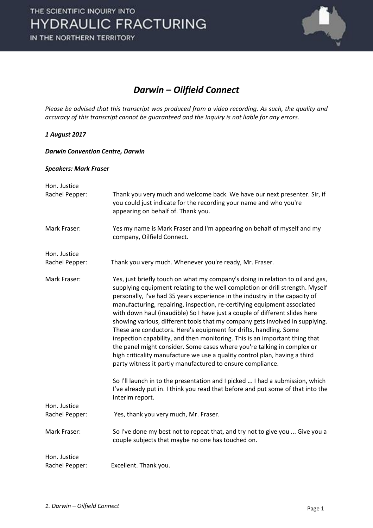

### *Darwin – Oilfield Connect*

*Please be advised that this transcript was produced from a video recording. As such, the quality and accuracy of this transcript cannot be guaranteed and the Inquiry is not liable for any errors.*

#### *1 August 2017*

#### *Darwin Convention Centre, Darwin*

#### *Speakers: Mark Fraser*

| Hon. Justice<br>Rachel Pepper: | Thank you very much and welcome back. We have our next presenter. Sir, if<br>you could just indicate for the recording your name and who you're<br>appearing on behalf of. Thank you.                                                                                                                                                                                                                                                                                                                                                                                                                                                                                                                                                                                                                                                                                |
|--------------------------------|----------------------------------------------------------------------------------------------------------------------------------------------------------------------------------------------------------------------------------------------------------------------------------------------------------------------------------------------------------------------------------------------------------------------------------------------------------------------------------------------------------------------------------------------------------------------------------------------------------------------------------------------------------------------------------------------------------------------------------------------------------------------------------------------------------------------------------------------------------------------|
| Mark Fraser:                   | Yes my name is Mark Fraser and I'm appearing on behalf of myself and my<br>company, Oilfield Connect.                                                                                                                                                                                                                                                                                                                                                                                                                                                                                                                                                                                                                                                                                                                                                                |
| Hon. Justice                   |                                                                                                                                                                                                                                                                                                                                                                                                                                                                                                                                                                                                                                                                                                                                                                                                                                                                      |
| Rachel Pepper:                 | Thank you very much. Whenever you're ready, Mr. Fraser.                                                                                                                                                                                                                                                                                                                                                                                                                                                                                                                                                                                                                                                                                                                                                                                                              |
| Mark Fraser:                   | Yes, just briefly touch on what my company's doing in relation to oil and gas,<br>supplying equipment relating to the well completion or drill strength. Myself<br>personally, I've had 35 years experience in the industry in the capacity of<br>manufacturing, repairing, inspection, re-certifying equipment associated<br>with down haul (inaudible) So I have just a couple of different slides here<br>showing various, different tools that my company gets involved in supplying.<br>These are conductors. Here's equipment for drifts, handling. Some<br>inspection capability, and then monitoring. This is an important thing that<br>the panel might consider. Some cases where you're talking in complex or<br>high criticality manufacture we use a quality control plan, having a third<br>party witness it partly manufactured to ensure compliance. |
|                                | So I'll launch in to the presentation and I picked  I had a submission, which<br>I've already put in. I think you read that before and put some of that into the<br>interim report.                                                                                                                                                                                                                                                                                                                                                                                                                                                                                                                                                                                                                                                                                  |
| Hon. Justice<br>Rachel Pepper: | Yes, thank you very much, Mr. Fraser.                                                                                                                                                                                                                                                                                                                                                                                                                                                                                                                                                                                                                                                                                                                                                                                                                                |
| Mark Fraser:                   | So I've done my best not to repeat that, and try not to give you  Give you a<br>couple subjects that maybe no one has touched on.                                                                                                                                                                                                                                                                                                                                                                                                                                                                                                                                                                                                                                                                                                                                    |
| Hon. Justice<br>Rachel Pepper: | Excellent. Thank you.                                                                                                                                                                                                                                                                                                                                                                                                                                                                                                                                                                                                                                                                                                                                                                                                                                                |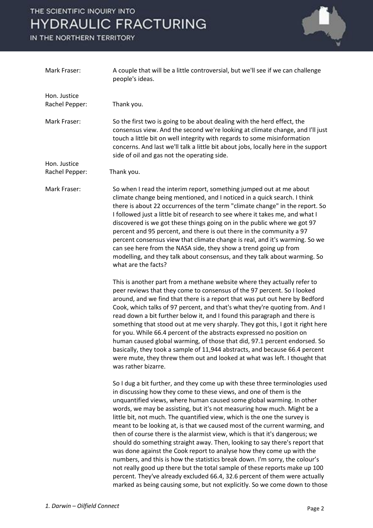# THE SCIENTIFIC INQUIRY INTO **HYDRAULIC FRACTURING**

IN THE NORTHERN TERRITORY



| Mark Fraser:                   | A couple that will be a little controversial, but we'll see if we can challenge<br>people's ideas.                                                                                                                                                                                                                                                                                                                                                                                                                                                                                                                                                                                                                                                                                                                                                                                                                                                                                                                               |
|--------------------------------|----------------------------------------------------------------------------------------------------------------------------------------------------------------------------------------------------------------------------------------------------------------------------------------------------------------------------------------------------------------------------------------------------------------------------------------------------------------------------------------------------------------------------------------------------------------------------------------------------------------------------------------------------------------------------------------------------------------------------------------------------------------------------------------------------------------------------------------------------------------------------------------------------------------------------------------------------------------------------------------------------------------------------------|
| Hon. Justice                   |                                                                                                                                                                                                                                                                                                                                                                                                                                                                                                                                                                                                                                                                                                                                                                                                                                                                                                                                                                                                                                  |
| Rachel Pepper:                 | Thank you.                                                                                                                                                                                                                                                                                                                                                                                                                                                                                                                                                                                                                                                                                                                                                                                                                                                                                                                                                                                                                       |
| Mark Fraser:                   | So the first two is going to be about dealing with the herd effect, the<br>consensus view. And the second we're looking at climate change, and I'll just<br>touch a little bit on well integrity with regards to some misinformation<br>concerns. And last we'll talk a little bit about jobs, locally here in the support<br>side of oil and gas not the operating side.                                                                                                                                                                                                                                                                                                                                                                                                                                                                                                                                                                                                                                                        |
| Hon. Justice<br>Rachel Pepper: | Thank you.                                                                                                                                                                                                                                                                                                                                                                                                                                                                                                                                                                                                                                                                                                                                                                                                                                                                                                                                                                                                                       |
| Mark Fraser:                   | So when I read the interim report, something jumped out at me about<br>climate change being mentioned, and I noticed in a quick search. I think<br>there is about 22 occurrences of the term "climate change" in the report. So<br>I followed just a little bit of research to see where it takes me, and what I<br>discovered is we got these things going on in the public where we got 97<br>percent and 95 percent, and there is out there in the community a 97<br>percent consensus view that climate change is real, and it's warming. So we<br>can see here from the NASA side, they show a trend going up from<br>modelling, and they talk about consensus, and they talk about warming. So<br>what are the facts?                                                                                                                                                                                                                                                                                                      |
|                                | This is another part from a methane website where they actually refer to<br>peer reviews that they come to consensus of the 97 percent. So I looked<br>around, and we find that there is a report that was put out here by Bedford<br>Cook, which talks of 97 percent, and that's what they're quoting from. And I<br>read down a bit further below it, and I found this paragraph and there is<br>something that stood out at me very sharply. They got this, I got it right here<br>for you. While 66.4 percent of the abstracts expressed no position on<br>human caused global warming, of those that did, 97.1 percent endorsed. So<br>basically, they took a sample of 11,944 abstracts, and because 66.4 percent<br>were mute, they threw them out and looked at what was left. I thought that<br>was rather bizarre.                                                                                                                                                                                                     |
|                                | So I dug a bit further, and they come up with these three terminologies used<br>in discussing how they come to these views, and one of them is the<br>unquantified views, where human caused some global warming. In other<br>words, we may be assisting, but it's not measuring how much. Might be a<br>little bit, not much. The quantified view, which is the one the survey is<br>meant to be looking at, is that we caused most of the current warming, and<br>then of course there is the alarmist view, which is that it's dangerous; we<br>should do something straight away. Then, looking to say there's report that<br>was done against the Cook report to analyse how they come up with the<br>numbers, and this is how the statistics break down. I'm sorry, the colour's<br>not really good up there but the total sample of these reports make up 100<br>percent. They've already excluded 66.4, 32.6 percent of them were actually<br>marked as being causing some, but not explicitly. So we come down to those |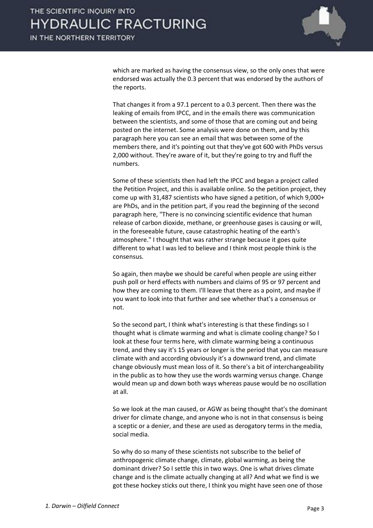

which are marked as having the consensus view, so the only ones that were endorsed was actually the 0.3 percent that was endorsed by the authors of the reports.

That changes it from a 97.1 percent to a 0.3 percent. Then there was the leaking of emails from IPCC, and in the emails there was communication between the scientists, and some of those that are coming out and being posted on the internet. Some analysis were done on them, and by this paragraph here you can see an email that was between some of the members there, and it's pointing out that they've got 600 with PhDs versus 2,000 without. They're aware of it, but they're going to try and fluff the numbers.

Some of these scientists then had left the IPCC and began a project called the Petition Project, and this is available online. So the petition project, they come up with 31,487 scientists who have signed a petition, of which 9,000+ are PhDs, and in the petition part, if you read the beginning of the second paragraph here, "There is no convincing scientific evidence that human release of carbon dioxide, methane, or greenhouse gases is causing or will, in the foreseeable future, cause catastrophic heating of the earth's atmosphere." I thought that was rather strange because it goes quite different to what I was led to believe and I think most people think is the consensus.

So again, then maybe we should be careful when people are using either push poll or herd effects with numbers and claims of 95 or 97 percent and how they are coming to them. I'll leave that there as a point, and maybe if you want to look into that further and see whether that's a consensus or not.

So the second part, I think what's interesting is that these findings so I thought what is climate warming and what is climate cooling change? So I look at these four terms here, with climate warming being a continuous trend, and they say it's 15 years or longer is the period that you can measure climate with and according obviously it's a downward trend, and climate change obviously must mean loss of it. So there's a bit of interchangeability in the public as to how they use the words warming versus change. Change would mean up and down both ways whereas pause would be no oscillation at all.

So we look at the man caused, or AGW as being thought that's the dominant driver for climate change, and anyone who is not in that consensus is being a sceptic or a denier, and these are used as derogatory terms in the media, social media.

So why do so many of these scientists not subscribe to the belief of anthropogenic climate change, climate, global warming, as being the dominant driver? So I settle this in two ways. One is what drives climate change and is the climate actually changing at all? And what we find is we got these hockey sticks out there, I think you might have seen one of those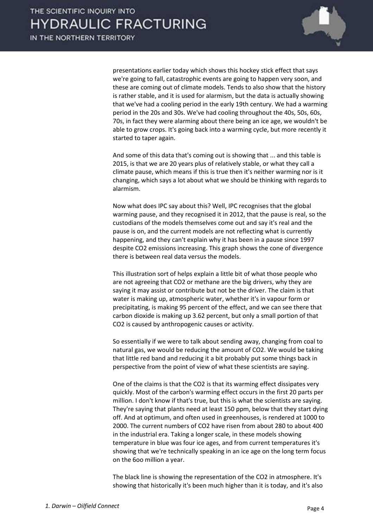

presentations earlier today which shows this hockey stick effect that says we're going to fall, catastrophic events are going to happen very soon, and these are coming out of climate models. Tends to also show that the history is rather stable, and it is used for alarmism, but the data is actually showing that we've had a cooling period in the early 19th century. We had a warming period in the 20s and 30s. We've had cooling throughout the 40s, 50s, 60s, 70s, in fact they were alarming about there being an ice age, we wouldn't be able to grow crops. It's going back into a warming cycle, but more recently it started to taper again.

And some of this data that's coming out is showing that ... and this table is 2015, is that we are 20 years plus of relatively stable, or what they call a climate pause, which means if this is true then it's neither warming nor is it changing, which says a lot about what we should be thinking with regards to alarmism.

Now what does IPC say about this? Well, IPC recognises that the global warming pause, and they recognised it in 2012, that the pause is real, so the custodians of the models themselves come out and say it's real and the pause is on, and the current models are not reflecting what is currently happening, and they can't explain why it has been in a pause since 1997 despite CO2 emissions increasing. This graph shows the cone of divergence there is between real data versus the models.

This illustration sort of helps explain a little bit of what those people who are not agreeing that CO2 or methane are the big drivers, why they are saying it may assist or contribute but not be the driver. The claim is that water is making up, atmospheric water, whether it's in vapour form or precipitating, is making 95 percent of the effect, and we can see there that carbon dioxide is making up 3.62 percent, but only a small portion of that CO2 is caused by anthropogenic causes or activity.

So essentially if we were to talk about sending away, changing from coal to natural gas, we would be reducing the amount of CO2. We would be taking that little red band and reducing it a bit probably put some things back in perspective from the point of view of what these scientists are saying.

One of the claims is that the CO2 is that its warming effect dissipates very quickly. Most of the carbon's warming effect occurs in the first 20 parts per million. I don't know if that's true, but this is what the scientists are saying. They're saying that plants need at least 150 ppm, below that they start dying off. And at optimum, and often used in greenhouses, is rendered at 1000 to 2000. The current numbers of CO2 have risen from about 280 to about 400 in the industrial era. Taking a longer scale, in these models showing temperature in blue was four ice ages, and from current temperatures it's showing that we're technically speaking in an ice age on the long term focus on the 6oo million a year.

The black line is showing the representation of the CO2 in atmosphere. It's showing that historically it's been much higher than it is today, and it's also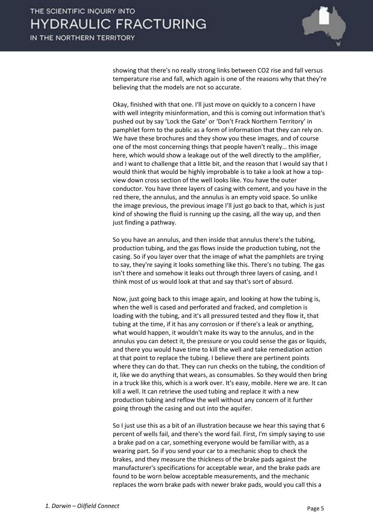

showing that there's no really strong links between CO2 rise and fall versus temperature rise and fall, which again is one of the reasons why that they're believing that the models are not so accurate.

Okay, finished with that one. I'll just move on quickly to a concern I have with well integrity misinformation, and this is coming out information that's pushed out by say 'Lock the Gate' or 'Don't Frack Northern Territory' in pamphlet form to the public as a form of information that they can rely on. We have these brochures and they show you these images, and of course one of the most concerning things that people haven't really… this image here, which would show a leakage out of the well directly to the amplifier, and I want to challenge that a little bit, and the reason that I would say that I would think that would be highly improbable is to take a look at how a topview down cross section of the well looks like. You have the outer conductor. You have three layers of casing with cement, and you have in the red there, the annulus, and the annulus is an empty void space. So unlike the image previous, the previous image I'll just go back to that, which is just kind of showing the fluid is running up the casing, all the way up, and then just finding a pathway.

So you have an annulus, and then inside that annulus there's the tubing, production tubing, and the gas flows inside the production tubing, not the casing. So if you layer over that the image of what the pamphlets are trying to say, they're saying it looks something like this. There's no tubing. The gas isn't there and somehow it leaks out through three layers of casing, and I think most of us would look at that and say that's sort of absurd.

Now, just going back to this image again, and looking at how the tubing is, when the well is cased and perforated and fracked, and completion is loading with the tubing, and it's all pressured tested and they flow it, that tubing at the time, if it has any corrosion or if there's a leak or anything, what would happen, it wouldn't make its way to the annulus, and in the annulus you can detect it, the pressure or you could sense the gas or liquids, and there you would have time to kill the well and take remediation action at that point to replace the tubing. I believe there are pertinent points where they can do that. They can run checks on the tubing, the condition of it, like we do anything that wears, as consumables. So they would then bring in a truck like this, which is a work over. It's easy, mobile. Here we are. It can kill a well. It can retrieve the used tubing and replace it with a new production tubing and reflow the well without any concern of it further going through the casing and out into the aquifer.

So I just use this as a bit of an illustration because we hear this saying that 6 percent of wells fail, and there's the word fail. First, I'm simply saying to use a brake pad on a car, something everyone would be familiar with, as a wearing part. So if you send your car to a mechanic shop to check the brakes, and they measure the thickness of the brake pads against the manufacturer's specifications for acceptable wear, and the brake pads are found to be worn below acceptable measurements, and the mechanic replaces the worn brake pads with newer brake pads, would you call this a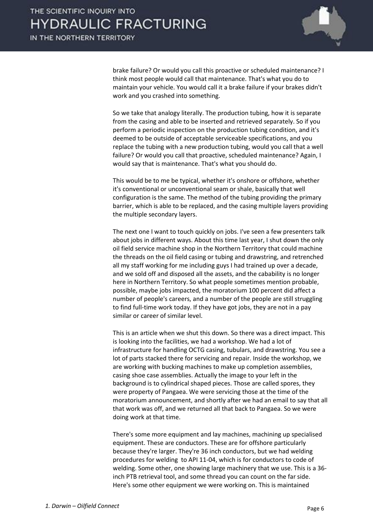

brake failure? Or would you call this proactive or scheduled maintenance? I think most people would call that maintenance. That's what you do to maintain your vehicle. You would call it a brake failure if your brakes didn't work and you crashed into something.

So we take that analogy literally. The production tubing, how it is separate from the casing and able to be inserted and retrieved separately. So if you perform a periodic inspection on the production tubing condition, and it's deemed to be outside of acceptable serviceable specifications, and you replace the tubing with a new production tubing, would you call that a well failure? Or would you call that proactive, scheduled maintenance? Again, I would say that is maintenance. That's what you should do.

This would be to me be typical, whether it's onshore or offshore, whether it's conventional or unconventional seam or shale, basically that well configuration is the same. The method of the tubing providing the primary barrier, which is able to be replaced, and the casing multiple layers providing the multiple secondary layers.

The next one I want to touch quickly on jobs. I've seen a few presenters talk about jobs in different ways. About this time last year, I shut down the only oil field service machine shop in the Northern Territory that could machine the threads on the oil field casing or tubing and drawstring, and retrenched all my staff working for me including guys I had trained up over a decade, and we sold off and disposed all the assets, and the cabability is no longer here in Northern Territory. So what people sometimes mention probable, possible, maybe jobs impacted, the moratorium 100 percent did affect a number of people's careers, and a number of the people are still struggling to find full-time work today. If they have got jobs, they are not in a pay similar or career of similar level.

This is an article when we shut this down. So there was a direct impact. This is looking into the facilities, we had a workshop. We had a lot of infrastructure for handling OCTG casing, tubulars, and drawstring. You see a lot of parts stacked there for servicing and repair. Inside the workshop, we are working with bucking machines to make up completion assemblies, casing shoe case assemblies. Actually the image to your left in the background is to cylindrical shaped pieces. Those are called spores, they were property of Pangaea. We were servicing those at the time of the moratorium announcement, and shortly after we had an email to say that all that work was off, and we returned all that back to Pangaea. So we were doing work at that time.

There's some more equipment and lay machines, machining up specialised equipment. These are conductors. These are for offshore particularly because they're larger. They're 36 inch conductors, but we had welding procedures for welding to API 11-04, which is for conductors to code of welding. Some other, one showing large machinery that we use. This is a 36 inch PTB retrieval tool, and some thread you can count on the far side. Here's some other equipment we were working on. This is maintained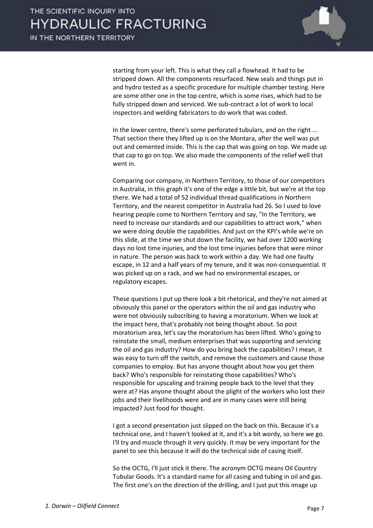

starting from your left. This is what they call a flowhead. It had to be stripped down. All the components resurfaced. New seals and things put in and hydro tested as a specific procedure for multiple chamber testing. Here are some other one in the top centre, which is some rises, which had to be fully stripped down and serviced. We sub-contract a lot of work to local inspectors and welding fabricators to do work that was coded.

In the lower centre, there's some perforated tubulars, and on the right ... That section there they lifted up is on the Montara, after the well was put out and cemented inside. This is the cap that was going on top. We made up that cap to go on top. We also made the components of the relief well that went in.

Comparing our company, in Northern Territory, to those of our competitors in Australia, in this graph it's one of the edge a little bit, but we're at the top there. We had a total of 52 individual thread qualifications in Northern Territory, and the nearest competitor in Australia had 26. So I used to love hearing people come to Northern Territory and say, "In the Territory, we need to increase our standards and our capabilities to attract work," when we were doing double the capabilities. And just on the KPI's while we're on this slide, at the time we shut down the facility, we had over 1200 working days no lost time injuries, and the lost time injuries before that were minor in nature. The person was back to work within a day. We had one faulty escape, in 12 and a half years of my tenure, and it was non-consequential. It was picked up on a rack, and we had no environmental escapes, or regulatory escapes.

These questions I put up there look a bit rhetorical, and they're not aimed at obviously this panel or the operators within the oil and gas industry who were not obviously subscribing to having a moratorium. When we look at the impact here, that's probably not being thought about. So post moratorium area, let's say the moratorium has been lifted. Who's going to reinstate the small, medium enterprises that was supporting and servicing the oil and gas industry? How do you bring back the capabilities? I mean, it was easy to turn off the switch, and remove the customers and cause those companies to employ. But has anyone thought about how you get them back? Who's responsible for reinstating those capabilities? Who's responsible for upscaling and training people back to the level that they were at? Has anyone thought about the plight of the workers who lost their jobs and their livelihoods were and are in many cases were still being impacted? Just food for thought.

I got a second presentation just slipped on the back on this. Because it's a technical one, and I haven't looked at it, and it's a bit wordy, so here we go. I'll try and muscle through it very quickly. It may be very important for the panel to see this because it will do the technical side of casing itself.

So the OCTG, I'll just stick it there. The acronym OCTG means Oil Country Tubular Goods. It's a standard name for all casing and tubing in oil and gas. The first one's on the direction of the drilling, and I just put this image up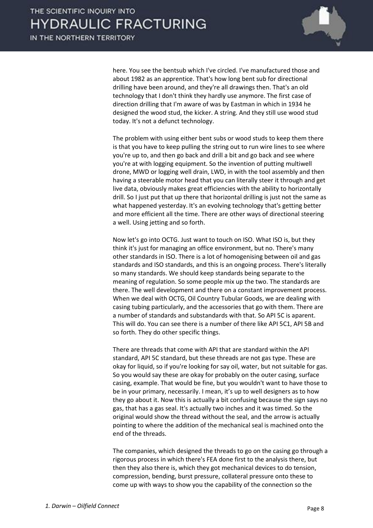

here. You see the bentsub which I've circled. I've manufactured those and about 1982 as an apprentice. That's how long bent sub for directional drilling have been around, and they're all drawings then. That's an old technology that I don't think they hardly use anymore. The first case of direction drilling that I'm aware of was by Eastman in which in 1934 he designed the wood stud, the kicker. A string. And they still use wood stud today. It's not a defunct technology.

The problem with using either bent subs or wood studs to keep them there is that you have to keep pulling the string out to run wire lines to see where you're up to, and then go back and drill a bit and go back and see where you're at with logging equipment. So the invention of putting multiwell drone, MWD or logging well drain, LWD, in with the tool assembly and then having a steerable motor head that you can literally steer it through and get live data, obviously makes great efficiencies with the ability to horizontally drill. So I just put that up there that horizontal drilling is just not the same as what happened yesterday. It's an evolving technology that's getting better and more efficient all the time. There are other ways of directional steering a well. Using jetting and so forth.

Now let's go into OCTG. Just want to touch on ISO. What ISO is, but they think it's just for managing an office environment, but no. There's many other standards in ISO. There is a lot of homogenising between oil and gas standards and ISO standards, and this is an ongoing process. There's literally so many standards. We should keep standards being separate to the meaning of regulation. So some people mix up the two. The standards are there. The well development and there on a constant improvement process. When we deal with OCTG, Oil Country Tubular Goods, we are dealing with casing tubing particularly, and the accessories that go with them. There are a number of standards and substandards with that. So API 5C is aparent. This will do. You can see there is a number of there like API 5C1, API 5B and so forth. They do other specific things.

There are threads that come with API that are standard within the API standard, API 5C standard, but these threads are not gas type. These are okay for liquid, so if you're looking for say oil, water, but not suitable for gas. So you would say these are okay for probably on the outer casing, surface casing, example. That would be fine, but you wouldn't want to have those to be in your primary, necessarily. I mean, it's up to well designers as to how they go about it. Now this is actually a bit confusing because the sign says no gas, that has a gas seal. It's actually two inches and it was timed. So the original would show the thread without the seal, and the arrow is actually pointing to where the addition of the mechanical seal is machined onto the end of the threads.

The companies, which designed the threads to go on the casing go through a rigorous process in which there's FEA done first to the analysis there, but then they also there is, which they got mechanical devices to do tension, compression, bending, burst pressure, collateral pressure onto these to come up with ways to show you the capability of the connection so the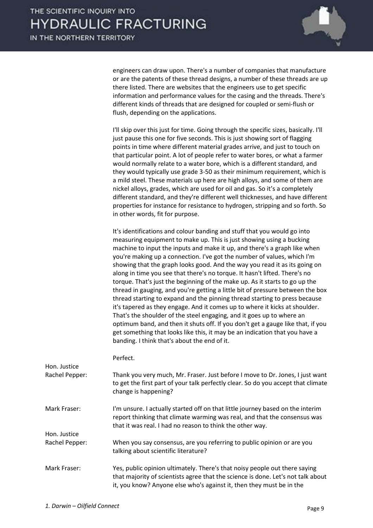

engineers can draw upon. There's a number of companies that manufacture or are the patents of these thread designs, a number of these threads are up there listed. There are websites that the engineers use to get specific information and performance values for the casing and the threads. There's different kinds of threads that are designed for coupled or semi-flush or flush, depending on the applications.

I'll skip over this just for time. Going through the specific sizes, basically. I'll just pause this one for five seconds. This is just showing sort of flagging points in time where different material grades arrive, and just to touch on that particular point. A lot of people refer to water bores, or what a farmer would normally relate to a water bore, which is a different standard, and they would typically use grade 3-50 as their minimum requirement, which is a mild steel. These materials up here are high alloys, and some of them are nickel alloys, grades, which are used for oil and gas. So it's a completely different standard, and they're different well thicknesses, and have different properties for instance for resistance to hydrogen, stripping and so forth. So in other words, fit for purpose.

It's identifications and colour banding and stuff that you would go into measuring equipment to make up. This is just showing using a bucking machine to input the inputs and make it up, and there's a graph like when you're making up a connection. I've got the number of values, which I'm showing that the graph looks good. And the way you read it as its going on along in time you see that there's no torque. It hasn't lifted. There's no torque. That's just the beginning of the make up. As it starts to go up the thread in gauging, and you're getting a little bit of pressure between the box thread starting to expand and the pinning thread starting to press because it's tapered as they engage. And it comes up to where it kicks at shoulder. That's the shoulder of the steel engaging, and it goes up to where an optimum band, and then it shuts off. If you don't get a gauge like that, if you get something that looks like this, it may be an indication that you have a banding. I think that's about the end of it.

Perfect.

| Hon. Justice   |                                                                                                                                                                                                                                        |
|----------------|----------------------------------------------------------------------------------------------------------------------------------------------------------------------------------------------------------------------------------------|
| Rachel Pepper: | Thank you very much, Mr. Fraser. Just before I move to Dr. Jones, I just want<br>to get the first part of your talk perfectly clear. So do you accept that climate<br>change is happening?                                             |
| Mark Fraser:   | I'm unsure. I actually started off on that little journey based on the interim<br>report thinking that climate warming was real, and that the consensus was<br>that it was real. I had no reason to think the other way.               |
| Hon. Justice   |                                                                                                                                                                                                                                        |
| Rachel Pepper: | When you say consensus, are you referring to public opinion or are you<br>talking about scientific literature?                                                                                                                         |
| Mark Fraser:   | Yes, public opinion ultimately. There's that noisy people out there saying<br>that majority of scientists agree that the science is done. Let's not talk about<br>it, you know? Anyone else who's against it, then they must be in the |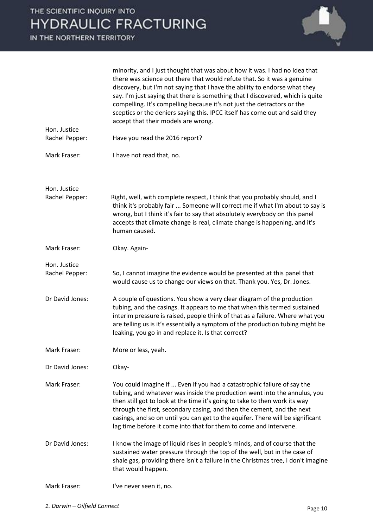

| Hon. Justice                   | minority, and I just thought that was about how it was. I had no idea that<br>there was science out there that would refute that. So it was a genuine<br>discovery, but I'm not saying that I have the ability to endorse what they<br>say. I'm just saying that there is something that I discovered, which is quite<br>compelling. It's compelling because it's not just the detractors or the<br>sceptics or the deniers saying this. IPCC itself has come out and said they<br>accept that their models are wrong. |
|--------------------------------|------------------------------------------------------------------------------------------------------------------------------------------------------------------------------------------------------------------------------------------------------------------------------------------------------------------------------------------------------------------------------------------------------------------------------------------------------------------------------------------------------------------------|
| Rachel Pepper:                 | Have you read the 2016 report?                                                                                                                                                                                                                                                                                                                                                                                                                                                                                         |
| Mark Fraser:                   | I have not read that, no.                                                                                                                                                                                                                                                                                                                                                                                                                                                                                              |
| Hon. Justice                   |                                                                                                                                                                                                                                                                                                                                                                                                                                                                                                                        |
| Rachel Pepper:                 | Right, well, with complete respect, I think that you probably should, and I<br>think it's probably fair  Someone will correct me if what I'm about to say is<br>wrong, but I think it's fair to say that absolutely everybody on this panel<br>accepts that climate change is real, climate change is happening, and it's<br>human caused.                                                                                                                                                                             |
| Mark Fraser:                   | Okay. Again-                                                                                                                                                                                                                                                                                                                                                                                                                                                                                                           |
| Hon. Justice<br>Rachel Pepper: | So, I cannot imagine the evidence would be presented at this panel that<br>would cause us to change our views on that. Thank you. Yes, Dr. Jones.                                                                                                                                                                                                                                                                                                                                                                      |
| Dr David Jones:                | A couple of questions. You show a very clear diagram of the production<br>tubing, and the casings. It appears to me that when this termed sustained<br>interim pressure is raised, people think of that as a failure. Where what you<br>are telling us is it's essentially a symptom of the production tubing might be<br>leaking, you go in and replace it. Is that correct?                                                                                                                                          |
| Mark Fraser:                   | More or less, yeah.                                                                                                                                                                                                                                                                                                                                                                                                                                                                                                    |
| Dr David Jones:                | Okay-                                                                                                                                                                                                                                                                                                                                                                                                                                                                                                                  |
| Mark Fraser:                   | You could imagine if  Even if you had a catastrophic failure of say the<br>tubing, and whatever was inside the production went into the annulus, you<br>then still got to look at the time it's going to take to then work its way<br>through the first, secondary casing, and then the cement, and the next<br>casings, and so on until you can get to the aquifer. There will be significant<br>lag time before it come into that for them to come and intervene.                                                    |
| Dr David Jones:                | I know the image of liquid rises in people's minds, and of course that the<br>sustained water pressure through the top of the well, but in the case of<br>shale gas, providing there isn't a failure in the Christmas tree, I don't imagine<br>that would happen.                                                                                                                                                                                                                                                      |
| Mark Fraser:                   | I've never seen it, no.                                                                                                                                                                                                                                                                                                                                                                                                                                                                                                |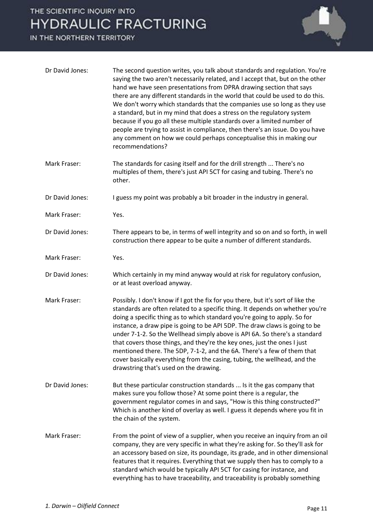### THE SCIENTIFIC INQUIRY INTO **HYDRAULIC FRACTURING**

IN THE NORTHERN TERRITORY



| Dr David Jones: | The second question writes, you talk about standards and regulation. You're<br>saying the two aren't necessarily related, and I accept that, but on the other<br>hand we have seen presentations from DPRA drawing section that says<br>there are any different standards in the world that could be used to do this.<br>We don't worry which standards that the companies use so long as they use<br>a standard, but in my mind that does a stress on the regulatory system<br>because if you go all these multiple standards over a limited number of<br>people are trying to assist in compliance, then there's an issue. Do you have<br>any comment on how we could perhaps conceptualise this in making our<br>recommendations? |
|-----------------|--------------------------------------------------------------------------------------------------------------------------------------------------------------------------------------------------------------------------------------------------------------------------------------------------------------------------------------------------------------------------------------------------------------------------------------------------------------------------------------------------------------------------------------------------------------------------------------------------------------------------------------------------------------------------------------------------------------------------------------|
| Mark Fraser:    | The standards for casing itself and for the drill strength  There's no<br>multiples of them, there's just API 5CT for casing and tubing. There's no<br>other.                                                                                                                                                                                                                                                                                                                                                                                                                                                                                                                                                                        |
| Dr David Jones: | I guess my point was probably a bit broader in the industry in general.                                                                                                                                                                                                                                                                                                                                                                                                                                                                                                                                                                                                                                                              |
| Mark Fraser:    | Yes.                                                                                                                                                                                                                                                                                                                                                                                                                                                                                                                                                                                                                                                                                                                                 |
| Dr David Jones: | There appears to be, in terms of well integrity and so on and so forth, in well<br>construction there appear to be quite a number of different standards.                                                                                                                                                                                                                                                                                                                                                                                                                                                                                                                                                                            |
| Mark Fraser:    | Yes.                                                                                                                                                                                                                                                                                                                                                                                                                                                                                                                                                                                                                                                                                                                                 |
| Dr David Jones: | Which certainly in my mind anyway would at risk for regulatory confusion,<br>or at least overload anyway.                                                                                                                                                                                                                                                                                                                                                                                                                                                                                                                                                                                                                            |
| Mark Fraser:    | Possibly. I don't know if I got the fix for you there, but it's sort of like the<br>standards are often related to a specific thing. It depends on whether you're<br>doing a specific thing as to which standard you're going to apply. So for<br>instance, a draw pipe is going to be API 5DP. The draw claws is going to be<br>under 7-1-2. So the Wellhead simply above is API 6A. So there's a standard<br>that covers those things, and they're the key ones, just the ones I just<br>mentioned there. The 5DP, 7-1-2, and the 6A. There's a few of them that<br>cover basically everything from the casing, tubing, the wellhead, and the<br>drawstring that's used on the drawing.                                            |
| Dr David Jones: | But these particular construction standards  Is it the gas company that<br>makes sure you follow those? At some point there is a regular, the<br>government regulator comes in and says, "How is this thing constructed?"<br>Which is another kind of overlay as well. I guess it depends where you fit in<br>the chain of the system.                                                                                                                                                                                                                                                                                                                                                                                               |
| Mark Fraser:    | From the point of view of a supplier, when you receive an inquiry from an oil<br>company, they are very specific in what they're asking for. So they'll ask for<br>an accessory based on size, its poundage, its grade, and in other dimensional<br>features that it requires. Everything that we supply then has to comply to a<br>standard which would be typically API 5CT for casing for instance, and<br>everything has to have traceability, and traceability is probably something                                                                                                                                                                                                                                            |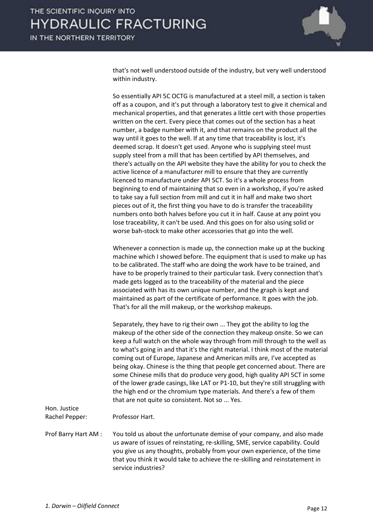

that's not well understood outside of the industry, but very well understood within industry.

So essentially API 5C OCTG is manufactured at a steel mill, a section is taken off as a coupon, and it's put through a laboratory test to give it chemical and mechanical properties, and that generates a little cert with those properties written on the cert. Every piece that comes out of the section has a heat number, a badge number with it, and that remains on the product all the way until it goes to the well. If at any time that traceability is lost, it's deemed scrap. It doesn't get used. Anyone who is supplying steel must supply steel from a mill that has been certified by API themselves, and there's actually on the API website they have the ability for you to check the active licence of a manufacturer mill to ensure that they are currently licenced to manufacture under API 5CT. So it's a whole process from beginning to end of maintaining that so even in a workshop, if you're asked to take say a full section from mill and cut it in half and make two short pieces out of it, the first thing you have to do is transfer the traceability numbers onto both halves before you cut it in half. Cause at any point you lose traceability, it can't be used. And this goes on for also using solid or worse bah-stock to make other accessories that go into the well.

Whenever a connection is made up, the connection make up at the bucking machine which I showed before. The equipment that is used to make up has to be calibrated. The staff who are doing the work have to be trained, and have to be properly trained to their particular task. Every connection that's made gets logged as to the traceability of the material and the piece associated with has its own unique number, and the graph is kept and maintained as part of the certificate of performance. It goes with the job. That's for all the mill makeup, or the workshop makeups.

Separately, they have to rig their own ... They got the ability to log the makeup of the other side of the connection they makeup onsite. So we can keep a full watch on the whole way through from mill through to the well as to what's going in and that it's the right material. I think most of the material coming out of Europe, Japanese and American mills are, I've accepted as being okay. Chinese is the thing that people get concerned about. There are some Chinese mills that do produce very good, high quality API 5CT in some of the lower grade casings, like LAT or P1-10, but they're still struggling with the high end or the chromium type materials. And there's a few of them that are not quite so consistent. Not so ... Yes.

Hon. Justice Rachel Pepper: Professor Hart. Prof Barry Hart AM : You told us about the unfortunate demise of your company, and also made us aware of issues of reinstating, re-skilling, SME, service capability. Could you give us any thoughts, probably from your own experience, of the time that you think it would take to achieve the re-skilling and reinstatement in service industries?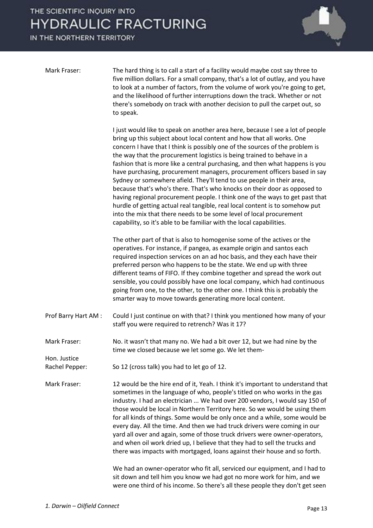## THE SCIENTIFIC INQUIRY INTO **HYDRAULIC FRACTURING**

IN THE NORTHERN TERRITORY



| Mark Fraser:                 | The hard thing is to call a start of a facility would maybe cost say three to<br>five million dollars. For a small company, that's a lot of outlay, and you have<br>to look at a number of factors, from the volume of work you're going to get,<br>and the likelihood of further interruptions down the track. Whether or not<br>there's somebody on track with another decision to pull the carpet out, so<br>to speak.                                                                                                                                                                                                                                                                                                                                                                                                                                                                                                                          |
|------------------------------|----------------------------------------------------------------------------------------------------------------------------------------------------------------------------------------------------------------------------------------------------------------------------------------------------------------------------------------------------------------------------------------------------------------------------------------------------------------------------------------------------------------------------------------------------------------------------------------------------------------------------------------------------------------------------------------------------------------------------------------------------------------------------------------------------------------------------------------------------------------------------------------------------------------------------------------------------|
|                              | I just would like to speak on another area here, because I see a lot of people<br>bring up this subject about local content and how that all works. One<br>concern I have that I think is possibly one of the sources of the problem is<br>the way that the procurement logistics is being trained to behave in a<br>fashion that is more like a central purchasing, and then what happens is you<br>have purchasing, procurement managers, procurement officers based in say<br>Sydney or somewhere afield. They'll tend to use people in their area,<br>because that's who's there. That's who knocks on their door as opposed to<br>having regional procurement people. I think one of the ways to get past that<br>hurdle of getting actual real tangible, real local content is to somehow put<br>into the mix that there needs to be some level of local procurement<br>capability, so it's able to be familiar with the local capabilities. |
|                              | The other part of that is also to homogenise some of the actives or the<br>operatives. For instance, if pangea, as example origin and santos each<br>required inspection services on an ad hoc basis, and they each have their<br>preferred person who happens to be the state. We end up with three<br>different teams of FIFO. If they combine together and spread the work out<br>sensible, you could possibly have one local company, which had continuous<br>going from one, to the other, to the other one. I think this is probably the<br>smarter way to move towards generating more local content.                                                                                                                                                                                                                                                                                                                                       |
| Prof Barry Hart AM :         | Could I just continue on with that? I think you mentioned how many of your<br>staff you were required to retrench? Was it 17?                                                                                                                                                                                                                                                                                                                                                                                                                                                                                                                                                                                                                                                                                                                                                                                                                      |
| Mark Fraser:<br>Hon. Justice | No. it wasn't that many no. We had a bit over 12, but we had nine by the<br>time we closed because we let some go. We let them-                                                                                                                                                                                                                                                                                                                                                                                                                                                                                                                                                                                                                                                                                                                                                                                                                    |
| Rachel Pepper:               | So 12 (cross talk) you had to let go of 12.                                                                                                                                                                                                                                                                                                                                                                                                                                                                                                                                                                                                                                                                                                                                                                                                                                                                                                        |
| Mark Fraser:                 | 12 would be the hire end of it, Yeah. I think it's important to understand that<br>sometimes in the language of who, people's titled on who works in the gas<br>industry. I had an electrician  We had over 200 vendors, I would say 150 of<br>those would be local in Northern Territory here. So we would be using them<br>for all kinds of things. Some would be only once and a while, some would be<br>every day. All the time. And then we had truck drivers were coming in our<br>yard all over and again, some of those truck drivers were owner-operators,<br>and when oil work dried up, I believe that they had to sell the trucks and<br>there was impacts with mortgaged, loans against their house and so forth.                                                                                                                                                                                                                     |

We had an owner-operator who fit all, serviced our equipment, and I had to sit down and tell him you know we had got no more work for him, and we were one third of his income. So there's all these people they don't get seen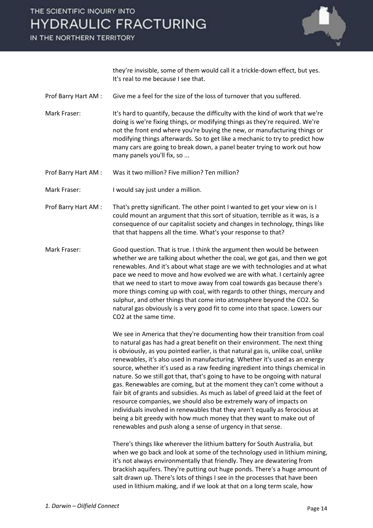



they're invisible, some of them would call it a trickle-down effect, but yes. It's real to me because I see that.

- Prof Barry Hart AM : Give me a feel for the size of the loss of turnover that you suffered.
- Mark Fraser: It's hard to quantify, because the difficulty with the kind of work that we're doing is we're fixing things, or modifying things as they're required. We're not the front end where you're buying the new, or manufacturing things or modifying things afterwards. So to get like a mechanic to try to predict how many cars are going to break down, a panel beater trying to work out how many panels you'll fix, so ...
- Prof Barry Hart AM : Was it two million? Five million? Ten million?
- Mark Fraser: I would say just under a million.
- Prof Barry Hart AM : That's pretty significant. The other point I wanted to get your view on is I could mount an argument that this sort of situation, terrible as it was, is a consequence of our capitalist society and changes in technology, things like that that happens all the time. What's your response to that?
- Mark Fraser: Good question. That is true. I think the argument then would be between whether we are talking about whether the coal, we got gas, and then we got renewables. And it's about what stage are we with technologies and at what pace we need to move and how evolved we are with what. I certainly agree that we need to start to move away from coal towards gas because there's more things coming up with coal, with regards to other things, mercury and sulphur, and other things that come into atmosphere beyond the CO2. So natural gas obviously is a very good fit to come into that space. Lowers our CO2 at the same time.

We see in America that they're documenting how their transition from coal to natural gas has had a great benefit on their environment. The next thing is obviously, as you pointed earlier, is that natural gas is, unlike coal, unlike renewables, it's also used in manufacturing. Whether it's used as an energy source, whether it's used as a raw feeding ingredient into things chemical in nature. So we still got that, that's going to have to be ongoing with natural gas. Renewables are coming, but at the moment they can't come without a fair bit of grants and subsidies. As much as label of greed laid at the feet of resource companies, we should also be extremely wary of impacts on individuals involved in renewables that they aren't equally as ferocious at being a bit greedy with how much money that they want to make out of renewables and push along a sense of urgency in that sense.

There's things like wherever the lithium battery for South Australia, but when we go back and look at some of the technology used in lithium mining, it's not always environmentally that friendly. They are dewatering from brackish aquifers. They're putting out huge ponds. There's a huge amount of salt drawn up. There's lots of things I see in the processes that have been used in lithium making, and if we look at that on a long term scale, how